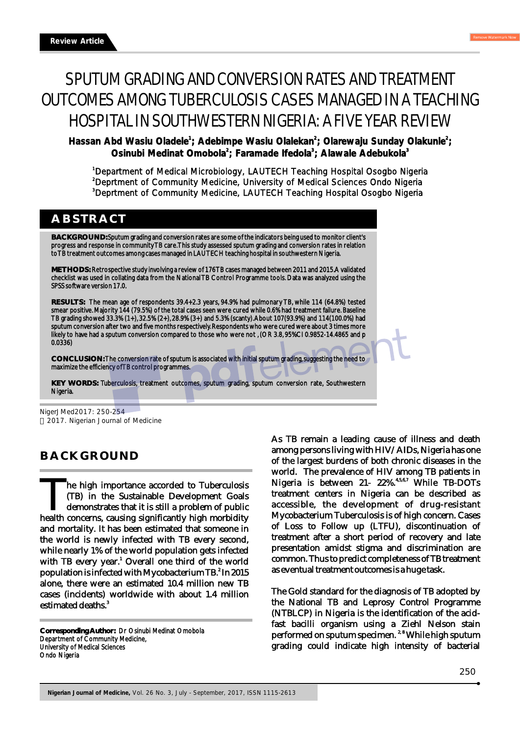# SPUTUM GRADING AND CONVERSION RATES AND TREATMENT OUTCOMES AMONG TUBERCULOSIS CASES MANAGED IN A TEACHING HOSPITAL IN SOUTHWESTERN NIGERIA: A FIVE YEAR REVIEW

**1** Hassan Abd Wasiu Oladele<sup>1</sup>; Adebimpe Wasiu Olalekan<sup>2</sup>; Olarewaju Sunday Olakunle<sup>2</sup>; **<sup>2</sup> <sup>3</sup> <sup>3</sup> Osinubi Medinat Omobola ; Faramade Ifedola ; Alawale Adebukola**

<sup>1</sup>Department of Medical Microbiology, LAUTECH Teaching Hospital Osogbo Nigeria <sup>2</sup>Deprtment of Community Medicine, University of Medical Sciences Ondo Nigeria <sup>3</sup>Deprtment of Community Medicine, LAUTECH Teaching Hospital Osogbo Nigeria

## **ABSTRACT**

**BACKGROUND:** Sputum grading and conversion rates are some of the indicators being used to monitor client's progress and response in community TB care. This study assessed sputum grading and conversion rates in relation to TB treatment outcomes among cases managed in LAUTECH teaching hospital in southwestern Nigeria.

**METHODS:** Retrospective study involving a review of 176 TB cases managed between 2011 and 2015. A validated checklist was used in collating data from the National TB Control Programme tools. Data was analyzed using the SPSS software version 17.0.

**RESULTS:** The mean age of respondents 39.4+2.3 years, 94.9% had pulmonary TB, while 114 (64.8%) tested smear positive. Majority 144 (79.5%) of the total cases seen were cured while 0.6% had treatment failure. Baseline TB grading showed 33.3% (1+), 32.5% (2+), 28.9% (3+) and 5.3% (scanty). About 107(93.9%) and 114(100.0%) had sputum conversion after two and five months respectively. Respondents who were cured were about 3 times more likely to have had a sputum conversion compared to those who were not , (OR 3.8, 95%CI 0.9852-14.4865 and p 0.0336)

**CONCLUSION:** The conversion rate of sputum is associated with initial sputum grading, suggesting the need to maximize the efficiency of TB control programmes.

**KEY WORDS:** Tuberculosis, treatment outcomes, sputum grading, sputum conversion rate, Southwestern Nigeria.

NigerJMed2017: 250-254 2017. Nigerian Journal of Medicine

# **BACKGROUND**

The high importance accorded to Tuberculosis The high importance accorded to Tuberculosis (TB) in the Sustainable Development Goals demonstrates that it is still a problem of public health concerns, causing significantly high morbidity and mortality. It has been estimated that someone in the world is newly infected with TB every second, while nearly 1% of the world population gets infected with TB every year.<sup>1</sup> Overall one third of the world population is infected with Mycobacterium TB. $^2$  In 2015 alone, there were an estimated 10.4 million new TB cases (incidents) worldwide with about 1.4 million estimated deaths.<sup>3</sup>

**Corresponding Author:** Dr Osinubi Medinat Omobola Department of Community Medicine, University of Medical Sciences Ondo Nigeria

As TB remain a leading cause of illness and death among persons living with HIV/AIDs, Nigeria has one of the largest burdens of both chronic diseases in the world. The prevalence of HIV among TB patients in Nigeria is between 21- 22%.<sup>4,5,6,7</sup> While TB-DOTs treatment centers in Nigeria can be described as accessible, the development of drug-resistant Mycobacterium Tuberculosis is of high concern. Cases of Loss to Follow up (LTFU), discontinuation of treatment after a short period of recovery and late presentation amidst stigma and discrimination are common. Thus to predict completeness of TB treatment as eventual treatment outcomes is a huge task.

The Gold standard for the diagnosis of TB adopted by the National TB and Leprosy Control Programme (NTBLCP) in Nigeria is the identification of the acidfast bacilli organism using a Ziehl Nelson stain performed on sputum specimen.<sup>2,8</sup> While high sputum grading could indicate high intensity of bacterial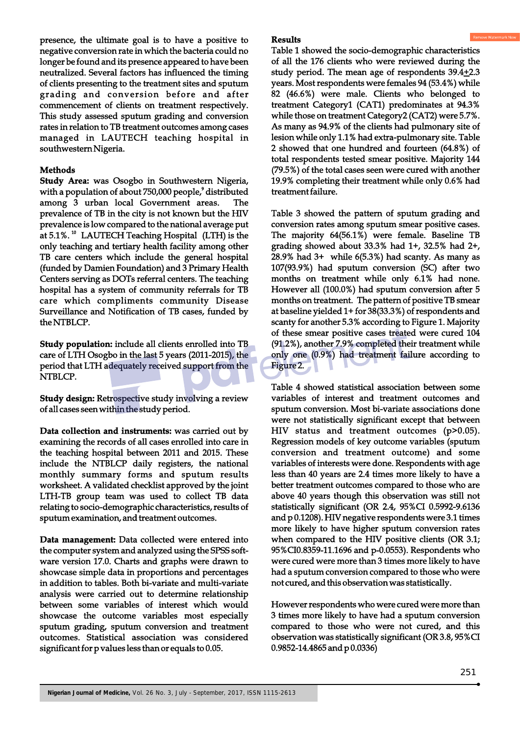presence, the ultimate goal is to have a positive to negative conversion rate in which the bacteria could no longer be found and its presence appeared to have been neutralized. Several factors has influenced the timing of clients presenting to the treatment sites and sputum grading and conversion before and after commencement of clients on treatment respectively. This study assessed sputum grading and conversion rates in relation to TB treatment outcomes among cases managed in LAUTECH teaching hospital in southwestern Nigeria.

#### **Methods**

**Study Area:** was Osogbo in Southwestern Nigeria, with a population of about 750,000 people,<sup>9</sup> distributed among 3 urban local Government areas. The prevalence of TB in the city is not known but the HIV prevalence is low compared to the national average put at 5.1%. <sup>10</sup> LAUTECH Teaching Hospital (LTH) is the only teaching and tertiary health facility among other TB care centers which include the general hospital (funded by Damien Foundation) and 3 Primary Health Centers serving as DOTs referral centers. The teaching hospital has a system of community referrals for TB care which compliments community Disease Surveillance and Notification of TB cases, funded by the NTBLCP.

**Study population:** include all clients enrolled into TB care of LTH Osogbo in the last 5 years (2011-2015), the period that LTH adequately received support from the NTBLCP.

**Study design:** Retrospective study involving a review of all cases seen within the study period.

**Data collection and instruments:** was carried out by examining the records of all cases enrolled into care in the teaching hospital between 2011 and 2015. These include the NTBLCP daily registers, the national monthly summary forms and sputum results worksheet. A validated checklist approved by the joint LTH-TB group team was used to collect TB data relating to socio-demographic characteristics, results of sputum examination, and treatment outcomes.

**Data management:** Data collected were entered into the computer system and analyzed using the SPSS software version 17.0. Charts and graphs were drawn to showcase simple data in proportions and percentages in addition to tables. Both bi-variate and multi-variate analysis were carried out to determine relationship between some variables of interest which would showcase the outcome variables most especially sputum grading, sputum conversion and treatment outcomes. Statistical association was considered significant for p values less than or equals to 0.05.

#### **Results**

Table 1 showed the socio-demographic characteristics of all the 176 clients who were reviewed during the study period. The mean age of respondents 39.4+2.3 years. Most respondents were females 94 (53.4%) while 82 (46.6%) were male. Clients who belonged to treatment Category1 (CAT1) predominates at 94.3% while those on treatment Category2 (CAT2) were 5.7%. As many as 94.9% of the clients had pulmonary site of lesion while only 1.1% had extra-pulmonary site. Table 2 showed that one hundred and fourteen (64.8%) of total respondents tested smear positive. Majority 144 (79.5%) of the total cases seen were cured with another 19.9% completing their treatment while only 0.6% had treatment failure.

Table 3 showed the pattern of sputum grading and conversion rates among sputum smear positive cases. The majority 64(56.1%) were female. Baseline TB grading showed about 33.3% had 1+, 32.5% had 2+, 28.9% had 3+ while 6(5.3%) had scanty. As many as 107(93.9%) had sputum conversion (SC) after two months on treatment while only 6.1% had none. However all (100.0%) had sputum conversion after 5 months on treatment. The pattern of positive TB smear at baseline yielded 1+ for 38(33.3%) of respondents and scanty for another 5.3% according to Figure 1. Majority of these smear positive cases treated were cured 104 (91.2%), another 7.9% completed their treatment while only one (0.9%) had treatment failure according to Figure 2.

Table 4 showed statistical association between some variables of interest and treatment outcomes and sputum conversion. Most bi-variate associations done were not statistically significant except that between HIV status and treatment outcomes (p>0.05). Regression models of key outcome variables (sputum conversion and treatment outcome) and some variables of interests were done. Respondents with age less than 40 years are 2.4 times more likely to have a better treatment outcomes compared to those who are above 40 years though this observation was still not statistically significant (OR 2.4, 95%CI 0.5992-9.6136 and p 0.1208). HIV negative respondents were 3.1 times more likely to have higher sputum conversion rates when compared to the HIV positive clients (OR 3.1; 95%CI0.8359-11.1696 and p-0.0553). Respondents who were cured were more than 3 times more likely to have had a sputum conversion compared to those who were not cured, and this observation was statistically.

However respondents who were cured were more than 3 times more likely to have had a sputum conversion compared to those who were not cured, and this observation was statistically significant (OR 3.8, 95%CI 0.9852-14.4865 and p 0.0336)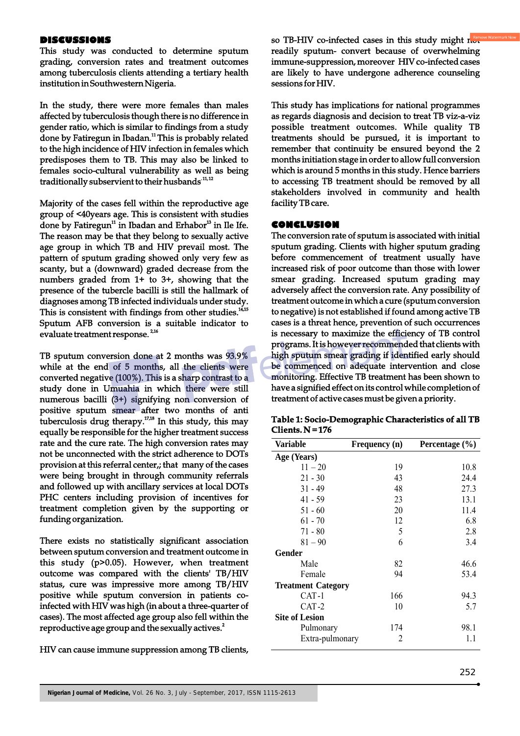#### **DISCUSSIONS**

This study was conducted to determine sputum grading, conversion rates and treatment outcomes among tuberculosis clients attending a tertiary health institution in Southwestern Nigeria.

In the study, there were more females than males affected by tuberculosis though there is no difference in gender ratio, which is similar to findings from a study done by Fatiregun in Ibadan.<sup>11</sup> This is probably related to the high incidence of HIV infection in females which predisposes them to TB. This may also be linked to females socio-cultural vulnerability as well as being traditionally subservient to their husbands<sup>11,12</sup>

Majority of the cases fell within the reproductive age group of <40years age. This is consistent with studies done by Fatiregun<sup>11</sup> in Ibadan and Erhabor<sup>13</sup> in Ile Ife. The reason may be that they belong to sexually active age group in which TB and HIV prevail most. The pattern of sputum grading showed only very few as scanty, but a (downward) graded decrease from the numbers graded from 1+ to 3+, showing that the presence of the tubercle bacilli is still the hallmark of diagnoses among TB infected individuals under study. This is consistent with findings from other studies.<sup>14,15</sup> Sputum AFB conversion is a suitable indicator to evaluate treatment response.<sup>2,16</sup>

TB sputum conversion done at 2 months was 93.9% while at the end of 5 months, all the clients were converted negative (100%). This is a sharp contrast to a study done in Umuahia in which there were still numerous bacilli (3+) signifying non conversion of positive sputum smear after two months of anti tuberculosis drug therapy. $17,18}$  In this study, this may equally be responsible for the higher treatment success rate and the cure rate. The high conversion rates may not be unconnected with the strict adherence to DOTs provision at this referral center,; that many of the cases were being brought in through community referrals and followed up with ancillary services at local DOTs PHC centers including provision of incentives for treatment completion given by the supporting or funding organization.

There exists no statistically significant association between sputum conversion and treatment outcome in this study (p>0.05). However, when treatment outcome was compared with the clients' TB/HIV status, cure was impressive more among TB/HIV positive while sputum conversion in patients coinfected with HIV was high (in about a three-quarter of cases). The most affected age group also fell within the reproductive age group and the sexually actives.<sup>2</sup>

HIV can cause immune suppression among TB clients,

so TB-HIV co-infected cases in this study might  $n_{\text{out}}^{\text{ren}}$ readily sputum- convert because of overwhelming immune-suppression, moreover HIV co-infected cases are likely to have undergone adherence counseling sessions for HIV.

This study has implications for national programmes as regards diagnosis and decision to treat TB viz-a-viz possible treatment outcomes. While quality TB treatments should be pursued, it is important to remember that continuity be ensured beyond the 2 months initiation stage in order to allow full conversion which is around 5 months in this study. Hence barriers to accessing TB treatment should be removed by all stakeholders involved in community and health facility TB care.

## **CONCLUSION**

The conversion rate of sputum is associated with initial sputum grading. Clients with higher sputum grading before commencement of treatment usually have increased risk of poor outcome than those with lower smear grading. Increased sputum grading may adversely affect the conversion rate. Any possibility of treatment outcome in which a cure (sputum conversion to negative) is not established if found among active TB cases is a threat hence, prevention of such occurrences is necessary to maximize the efficiency of TB control programs. It is however recommended that clients with high sputum smear grading if identified early should be commenced on adequate intervention and close monitoring. Effective TB treatment has been shown to have a signified effect on its control while completion of treatment of active cases must be given a priority.

| <b>Variable</b>           | Frequency (n) | Percentage $(\% )$ |
|---------------------------|---------------|--------------------|
| Age (Years)               |               |                    |
| $11 - 20$                 | 19            | 10.8               |
| $21 - 30$                 | 43            | 24.4               |
| $31 - 49$                 | 48            | 27.3               |
| 41 - 59                   | 23            | 13.1               |
| $51 - 60$                 | 20            | 11.4               |
| $61 - 70$                 | 12            | 6.8                |
| $71 - 80$                 | 5             | 2.8                |
| $81 - 90$                 | 6             | 3.4                |
| Gender                    |               |                    |
| Male                      | 82            | 46.6               |
| Female                    | 94            | 53.4               |
| <b>Treatment Category</b> |               |                    |
| CAT-1                     | 166           | 94.3               |
| CAT-2                     | 10            | 5.7                |
| <b>Site of Lesion</b>     |               |                    |
| Pulmonary                 | 174           | 98.1               |
| Extra-pulmonary           | 2             | 1.1                |

| Table 1: Socio-Demographic Characteristics of all TB |  |
|------------------------------------------------------|--|
| Clients. $N = 176$                                   |  |

j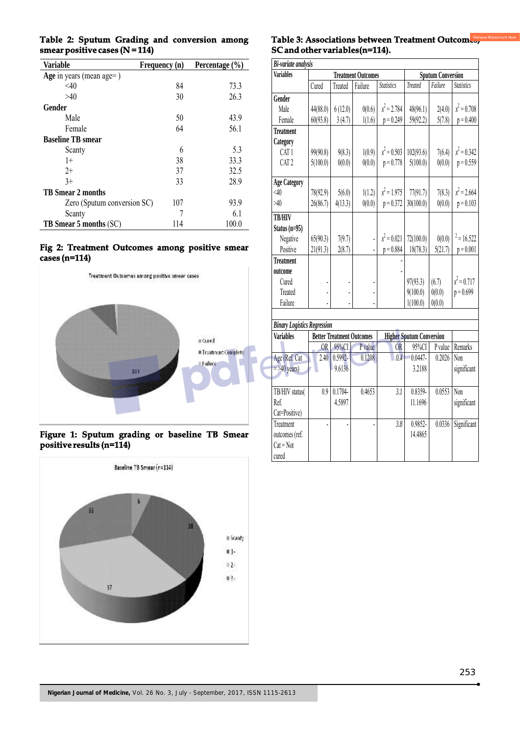| Variable                    | Frequency (n) | Percentage $(\% )$ |
|-----------------------------|---------------|--------------------|
| Age in years (mean age=)    |               |                    |
| < 40                        | 84            | 73.3               |
| >40                         | 30            | 26.3               |
| Gender                      |               |                    |
| Male                        | 50            | 43.9               |
| Female                      | 64            | 56.1               |
| <b>Baseline TB</b> smear    |               |                    |
| Scanty                      | 6             | 5.3                |
| $1+$                        | 38            | 33.3               |
| $2+$                        | 37            | 32.5               |
| $3+$                        | 33            | 28.9               |
| <b>TB Smear 2 months</b>    |               |                    |
| Zero (Sputum conversion SC) | 107           | 93.9               |
| Scanty                      |               | 6.1                |
| TB Smear 5 months (SC)      | 114           | 100.0              |

#### **Table 2: Sputum Grading and conversion among smear positive cases (N = 114)**

#### **Fig 2: Treatment Outcomes among positive smear cases (n=114)**



#### **Figure 1: Sputum grading or baseline TB Smear positive results (n=114)**



## Table 3: Associations between Treatment Outcomes, **SC and other variables(n=114).**

| Bi-variate analysis                                    |                           |                                  |         |                          |                                 |         |                   |  |  |
|--------------------------------------------------------|---------------------------|----------------------------------|---------|--------------------------|---------------------------------|---------|-------------------|--|--|
| <b>Variables</b>                                       | <b>Treatment Outcomes</b> |                                  |         | <b>Sputum Conversion</b> |                                 |         |                   |  |  |
|                                                        | Cured                     | Treated                          | Failure | <b>Statistics</b>        | <b>Treated</b>                  | Failure | <b>Statistics</b> |  |  |
| Gender                                                 |                           |                                  |         |                          |                                 |         |                   |  |  |
| Male                                                   | 44(88.0)                  | 6(12.0)                          | 0(0.6)  | $x^2 = 2.784$            | 48(96.1)                        | 2(4.0)  | $x^2 = 0.708$     |  |  |
| Female                                                 | 60(93.8)                  | 3(4.7)                           | 1(1.6)  | $p = 0.249$              | 59(92.2)                        | 5(7.8)  | $p = 0.400$       |  |  |
| <b>Treatment</b>                                       |                           |                                  |         |                          |                                 |         |                   |  |  |
| Category                                               |                           |                                  |         |                          |                                 |         |                   |  |  |
| CAT <sub>1</sub>                                       | 99(90.8)                  | 9(8.3)                           | 1(0.9)  | $x^2 = 0.503$            | 102(93.6)                       | 7(6.4)  | $x^2 = 0.342$     |  |  |
| CAT <sub>2</sub>                                       | 5(100.0)                  | 0(0.0)                           | 0(0.0)  | $p = 0.778$              | 5(100.0)                        | 0(0.0)  | $p = 0.559$       |  |  |
| <b>Age Category</b>                                    |                           |                                  |         |                          |                                 |         |                   |  |  |
| $\leq 40$                                              | 78(92.9)                  | 5(6.0)                           | 1(1.2)  | $x^2 = 1.975$            | 77(91.7)                        | 7(8.3)  | $x^2 = 2.664$     |  |  |
| >40                                                    | 26(86.7)                  | 4(13.3)                          | 0(0.0)  | $p = 0.372$              | 30(100.0)                       | 0(0.0)  | $p = 0.103$       |  |  |
| <b>TB/HIV</b>                                          |                           |                                  |         |                          |                                 |         |                   |  |  |
| Status $(n=95)$                                        |                           |                                  |         |                          |                                 |         |                   |  |  |
| Negative                                               | 65(90.3)                  | 7(9.7)                           |         | $x^2 = 0.021$            | 72(100.0)                       | 0(0.0)  | $2 = 16.522$      |  |  |
| Positive                                               | 21(91.3)                  | 2(8.7)                           |         | $p = 0.884$              | 18(78.3)                        | 5(21.7) | $p = 0.001$       |  |  |
| <b>Treatment</b>                                       |                           |                                  |         |                          |                                 |         |                   |  |  |
| outcome                                                |                           |                                  |         |                          |                                 |         |                   |  |  |
| Cured                                                  |                           |                                  |         |                          | 97(93.3)                        | (6.7)   | $x^2 = 0.717$     |  |  |
| Treated                                                |                           |                                  |         |                          | 9(100.0)                        | 0(0.0)  | $p = 0.699$       |  |  |
| Failure                                                |                           |                                  |         |                          | 1(100.0)                        | 0(0.0)  |                   |  |  |
|                                                        |                           |                                  |         |                          |                                 |         |                   |  |  |
| <b>Binary Logistics Regression</b><br><b>Variables</b> |                           | <b>Better Treatment Outcomes</b> |         |                          | <b>Higher Sputum Conversion</b> |         |                   |  |  |
|                                                        | OR <sub></sub>            | 95%CI                            | P value | <b>OR</b>                | 95%CI                           | P value | Remarks           |  |  |
| Age (Ref. Cat                                          | 2.40                      | $0.5992 -$                       | 0.1208  | 0.4                      | $0.0447 -$                      | 0.2026  | Non               |  |  |
| $=$ >40 years)                                         |                           | 9.6136                           |         |                          | 3.2188                          |         | significant       |  |  |
|                                                        |                           |                                  |         |                          |                                 |         |                   |  |  |
|                                                        | 0.9                       | $0.1704 -$                       | 0.4653  |                          | 0.8359-                         | 0.0553  | Non               |  |  |
| TB/HIV status(<br>Ref.                                 |                           | 4.5897                           |         | 3.1                      | 11.1696                         |         | significant       |  |  |
| Cat=Positive)                                          |                           |                                  |         |                          |                                 |         |                   |  |  |
| Treatment                                              |                           |                                  |         | 3.8                      | 0.9852                          | 0.0336  | Significant       |  |  |
| outcomes (ref.                                         |                           |                                  |         |                          | 14.4865                         |         |                   |  |  |
| $Cat = Not$                                            |                           |                                  |         |                          |                                 |         |                   |  |  |
| cured                                                  |                           |                                  |         |                          |                                 |         |                   |  |  |
|                                                        |                           |                                  |         |                          |                                 |         |                   |  |  |